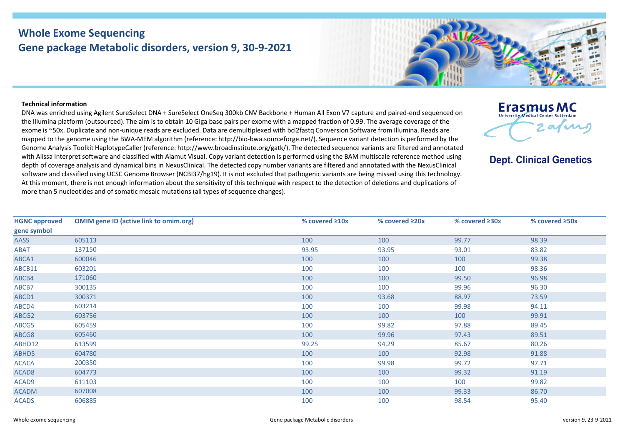## **Whole Exome Sequencing Gene package Metabolic disorders, version 9, 30-9-2021**



## **Technical information**

DNA was enriched using Agilent SureSelect DNA + SureSelect OneSeq 300kb CNV Backbone + Human All Exon V7 capture and paired-end sequenced on the Illumina platform (outsourced). The aim is to obtain 10 Giga base pairs per exome with a mapped fraction of 0.99. The average coverage of the exome is ~50x. Duplicate and non-unique reads are excluded. Data are demultiplexed with bcl2fastq Conversion Software from Illumina. Reads are mapped to the genome using the BWA-MEM algorithm (reference: http://bio-bwa.sourceforge.net/). Sequence variant detection is performed by the Genome Analysis Toolkit HaplotypeCaller (reference: http://www.broadinstitute.org/gatk/). The detected sequence variants are filtered and annotated with Alissa Interpret software and classified with Alamut Visual. Copy variant detection is performed using the BAM multiscale reference method using depth of coverage analysis and dynamical bins in NexusClinical. The detected copy number variants are filtered and annotated with the NexusClinical software and classified using UCSC Genome Browser (NCBI37/hg19). It is not excluded that pathogenic variants are being missed using this technology. At this moment, there is not enough information about the sensitivity of this technique with respect to the detection of deletions and duplications of more than 5 nucleotides and of somatic mosaic mutations (all types of sequence changes).



**Dept. Clinical Genetics** 

| <b>HGNC approved</b> | <b>OMIM gene ID (active link to omim.org)</b> | % covered ≥10x | % covered $\geq$ 20x | % covered ≥30x | % covered ≥50x |
|----------------------|-----------------------------------------------|----------------|----------------------|----------------|----------------|
| gene symbol          |                                               |                |                      |                |                |
| <b>AASS</b>          | 605113                                        | 100            | 100                  | 99.77          | 98.39          |
| <b>ABAT</b>          | 137150                                        | 93.95          | 93.95                | 93.01          | 83.82          |
| ABCA1                | 600046                                        | 100            | 100                  | 100            | 99.38          |
| ABCB11               | 603201                                        | 100            | 100                  | 100            | 98.36          |
| ABCB4                | 171060                                        | 100            | 100                  | 99.50          | 96.98          |
| ABCB7                | 300135                                        | 100            | 100                  | 99.96          | 96.30          |
| ABCD1                | 300371                                        | 100            | 93.68                | 88.97          | 73.59          |
| ABCD4                | 603214                                        | 100            | 100                  | 99.98          | 94.11          |
| ABCG2                | 603756                                        | 100            | 100                  | 100            | 99.91          |
| ABCG5                | 605459                                        | 100            | 99.82                | 97.88          | 89.45          |
| ABCG8                | 605460                                        | 100            | 99.96                | 97.43          | 89.51          |
| ABHD12               | 613599                                        | 99.25          | 94.29                | 85.67          | 80.26          |
| ABHD5                | 604780                                        | 100            | 100                  | 92.98          | 91.88          |
| <b>ACACA</b>         | 200350                                        | 100            | 99.98                | 99.72          | 97.71          |
| ACAD <sub>8</sub>    | 604773                                        | 100            | 100                  | 99.32          | 91.19          |
| ACAD9                | 611103                                        | 100            | 100                  | 100            | 99.82          |
| <b>ACADM</b>         | 607008                                        | 100            | 100                  | 99.33          | 86.70          |
| <b>ACADS</b>         | 606885                                        | 100            | 100                  | 98.54          | 95.40          |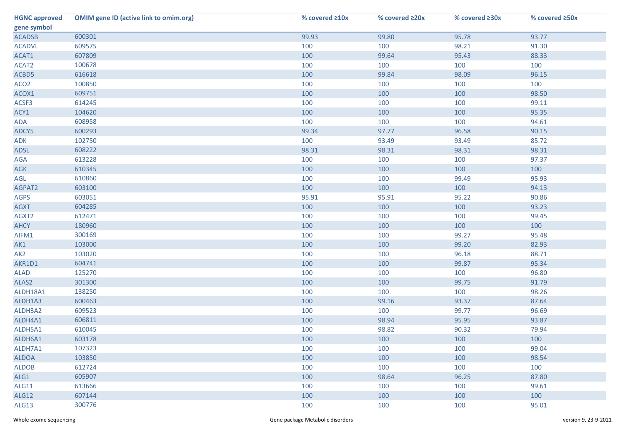| <b>HGNC approved</b> | <b>OMIM gene ID (active link to omim.org)</b> | % covered ≥10x | % covered ≥20x | % covered ≥30x | % covered ≥50x |
|----------------------|-----------------------------------------------|----------------|----------------|----------------|----------------|
| gene symbol          |                                               |                |                |                |                |
| <b>ACADSB</b>        | 600301                                        | 99.93          | 99.80          | 95.78          | 93.77          |
| <b>ACADVL</b>        | 609575                                        | 100            | 100            | 98.21          | 91.30          |
| ACAT1                | 607809                                        | 100            | 99.64          | 95.43          | 88.33          |
| ACAT2                | 100678                                        | 100            | 100            | 100            | 100            |
| ACBD5                | 616618                                        | 100            | 99.84          | 98.09          | 96.15          |
| ACO <sub>2</sub>     | 100850                                        | 100            | 100            | 100            | 100            |
| ACOX1                | 609751                                        | 100            | 100            | 100            | 98.50          |
| ACSF3                | 614245                                        | 100            | 100            | 100            | 99.11          |
| ACY1                 | 104620                                        | 100            | 100            | 100            | 95.35          |
| ADA                  | 608958                                        | 100            | 100            | 100            | 94.61          |
| ADCY5                | 600293                                        | 99.34          | 97.77          | 96.58          | 90.15          |
| ADK                  | 102750                                        | 100            | 93.49          | 93.49          | 85.72          |
| <b>ADSL</b>          | 608222                                        | 98.31          | 98.31          | 98.31          | 98.31          |
| AGA                  | 613228                                        | 100            | 100            | 100            | 97.37          |
| <b>AGK</b>           | 610345                                        | 100            | 100            | 100            | 100            |
| AGL                  | 610860                                        | 100            | 100            | 99.49          | 95.93          |
| AGPAT2               | 603100                                        | 100            | 100            | 100            | 94.13          |
| <b>AGPS</b>          | 603051                                        | 95.91          | 95.91          | 95.22          | 90.86          |
| <b>AGXT</b>          | 604285                                        | 100            | 100            | 100            | 93.23          |
| AGXT2                | 612471                                        | 100            | 100            | 100            | 99.45          |
| <b>AHCY</b>          | 180960                                        | 100            | 100            | 100            | 100            |
| AIFM1                | 300169                                        | 100            | 100            | 99.27          | 95.48          |
| AK1                  | 103000                                        | 100            | 100            | 99.20          | 82.93          |
| AK <sub>2</sub>      | 103020                                        | 100            | 100            | 96.18          | 88.71          |
| AKR1D1               | 604741                                        | 100            | 100            | 99.87          | 95.34          |
| <b>ALAD</b>          | 125270                                        | 100            | 100            | 100            | 96.80          |
| ALAS2                | 301300                                        | 100            | 100            | 99.75          | 91.79          |
| ALDH18A1             | 138250                                        | 100            | 100            | 100            | 98.26          |
| ALDH1A3              | 600463                                        | 100            | 99.16          | 93.37          | 87.64          |
| ALDH3A2              | 609523                                        | 100            | 100            | 99.77          | 96.69          |
| ALDH4A1              | 606811                                        | 100            | 98.94          | 95.95          | 93.87          |
| ALDH5A1              | 610045                                        | 100            | 98.82          | 90.32          | 79.94          |
| ALDH6A1              | 603178                                        | 100            | 100            | 100            | 100            |
| ALDH7A1              | 107323                                        | 100            | 100            | 100            | 99.04          |
| <b>ALDOA</b>         | 103850                                        | 100            | 100            | 100            | 98.54          |
| <b>ALDOB</b>         | 612724                                        | 100            | 100            | 100            | 100            |
| ALG1                 | 605907                                        | 100            | 98.64          | 96.25          | 87.80          |
| ALG11                | 613666                                        | 100            | 100            | 100            | 99.61          |
| <b>ALG12</b>         | 607144                                        | 100            | 100            | 100            | 100            |
| ALG13                | 300776                                        | 100            | 100            | 100            | 95.01          |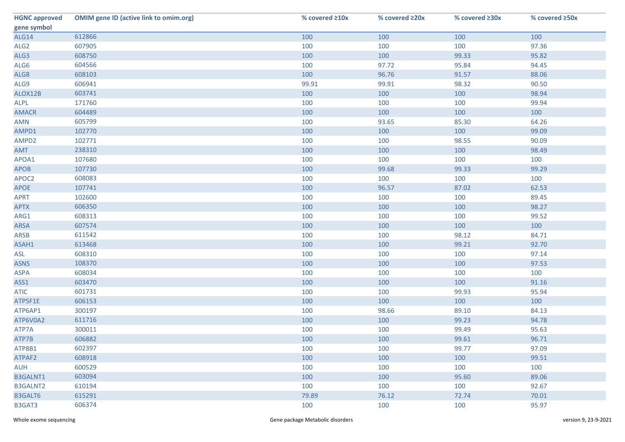| <b>HGNC approved</b> | <b>OMIM gene ID (active link to omim.org)</b> | % covered $\geq 10x$ | % covered ≥20x | % covered ≥30x | % covered ≥50x |
|----------------------|-----------------------------------------------|----------------------|----------------|----------------|----------------|
| gene symbol          |                                               |                      |                |                |                |
| ALG14                | 612866                                        | 100                  | 100            | 100            | 100            |
| ALG <sub>2</sub>     | 607905                                        | 100                  | 100            | 100            | 97.36          |
| ALG3                 | 608750                                        | 100                  | 100            | 99.33          | 95.82          |
| ALG6                 | 604566                                        | 100                  | 97.72          | 95.84          | 94.45          |
| ALG8                 | 608103                                        | 100                  | 96.76          | 91.57          | 88.06          |
| ALG9                 | 606941                                        | 99.91                | 99.91          | 98.32          | 90.50          |
| ALOX12B              | 603741                                        | 100                  | 100            | 100            | 98.94          |
| <b>ALPL</b>          | 171760                                        | 100                  | 100            | 100            | 99.94          |
| <b>AMACR</b>         | 604489                                        | 100                  | 100            | 100            | 100            |
| AMN                  | 605799                                        | 100                  | 93.65          | 85.30          | 64.26          |
| AMPD1                | 102770                                        | 100                  | 100            | 100            | 99.09          |
| AMPD2                | 102771                                        | 100                  | 100            | 98.55          | 90.09          |
| AMT                  | 238310                                        | 100                  | 100            | 100            | 98.49          |
| APOA1                | 107680                                        | 100                  | 100            | 100            | 100            |
| <b>APOB</b>          | 107730                                        | 100                  | 99.68          | 99.33          | 99.29          |
| APOC2                | 608083                                        | 100                  | 100            | 100            | 100            |
| APOE                 | 107741                                        | 100                  | 96.57          | 87.02          | 62.53          |
| <b>APRT</b>          | 102600                                        | 100                  | 100            | 100            | 89.45          |
| <b>APTX</b>          | 606350                                        | 100                  | 100            | 100            | 98.27          |
| ARG1                 | 608313                                        | 100                  | 100            | 100            | 99.52          |
| ARSA                 | 607574                                        | 100                  | 100            | 100            | 100            |
| ARSB                 | 611542                                        | 100                  | 100            | 98.12          | 84.71          |
| ASAH1                | 613468                                        | 100                  | 100            | 99.21          | 92.70          |
| ASL                  | 608310                                        | 100                  | 100            | 100            | 97.14          |
| <b>ASNS</b>          | 108370                                        | 100                  | 100            | 100            | 97.53          |
| <b>ASPA</b>          | 608034                                        | 100                  | 100            | 100            | 100            |
| ASS1                 | 603470                                        | 100                  | 100            | 100            | 91.16          |
| <b>ATIC</b>          | 601731                                        | 100                  | 100            | 99.93          | 95.94          |
| ATP5F1E              | 606153                                        | 100                  | 100            | 100            | 100            |
| ATP6AP1              | 300197                                        | 100                  | 98.66          | 89.10          | 84.13          |
| ATP6V0A2             | 611716                                        | 100                  | 100            | 99.23          | 94.78          |
| ATP7A                | 300011                                        | 100                  | 100            | 99.49          | 95.63          |
| ATP7B                | 606882                                        | 100                  | 100            | 99.61          | 96.71          |
| ATP8B1               | 602397                                        | 100                  | 100            | 99.77          | 97.09          |
| ATPAF2               | 608918                                        | 100                  | 100            | 100            | 99.51          |
| <b>AUH</b>           | 600529                                        | 100                  | 100            | 100            | 100            |
| <b>B3GALNT1</b>      | 603094                                        | 100                  | 100            | 95.60          | 89.06          |
| <b>B3GALNT2</b>      | 610194                                        | 100                  | 100            | 100            | 92.67          |
| B3GALT6              | 615291                                        | 79.89                | 76.12          | 72.74          | 70.01          |
| B3GAT3               | 606374                                        | 100                  | 100            | 100            | 95.97          |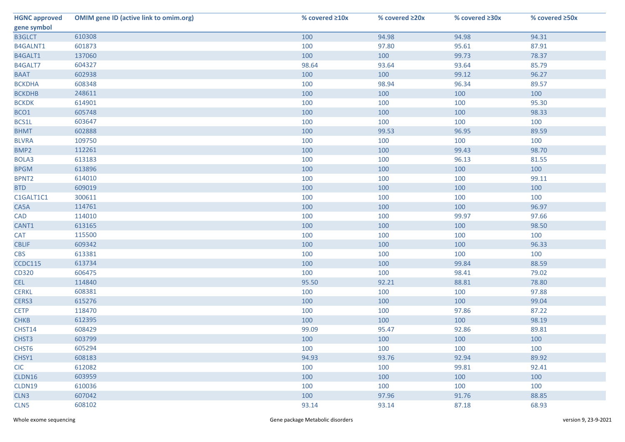| <b>HGNC approved</b> | <b>OMIM gene ID (active link to omim.org)</b> | % covered ≥10x | % covered ≥20x | % covered ≥30x | % covered ≥50x |
|----------------------|-----------------------------------------------|----------------|----------------|----------------|----------------|
| gene symbol          |                                               |                |                |                |                |
| <b>B3GLCT</b>        | 610308                                        | 100            | 94.98          | 94.98          | 94.31          |
| B4GALNT1             | 601873                                        | 100            | 97.80          | 95.61          | 87.91          |
| B4GALT1              | 137060                                        | 100            | 100            | 99.73          | 78.37          |
| B4GALT7              | 604327                                        | 98.64          | 93.64          | 93.64          | 85.79          |
| <b>BAAT</b>          | 602938                                        | 100            | 100            | 99.12          | 96.27          |
| <b>BCKDHA</b>        | 608348                                        | 100            | 98.94          | 96.34          | 89.57          |
| <b>BCKDHB</b>        | 248611                                        | 100            | 100            | 100            | 100            |
| <b>BCKDK</b>         | 614901                                        | 100            | 100            | 100            | 95.30          |
| BCO1                 | 605748                                        | 100            | 100            | 100            | 98.33          |
| BCS1L                | 603647                                        | 100            | 100            | 100            | 100            |
| <b>BHMT</b>          | 602888                                        | 100            | 99.53          | 96.95          | 89.59          |
| <b>BLVRA</b>         | 109750                                        | 100            | 100            | 100            | 100            |
| BMP2                 | 112261                                        | 100            | 100            | 99.43          | 98.70          |
| BOLA3                | 613183                                        | 100            | 100            | 96.13          | 81.55          |
| <b>BPGM</b>          | 613896                                        | 100            | 100            | 100            | 100            |
| BPNT2                | 614010                                        | 100            | 100            | 100            | 99.11          |
| <b>BTD</b>           | 609019                                        | 100            | 100            | 100            | 100            |
| C1GALT1C1            | 300611                                        | 100            | 100            | 100            | 100            |
| CA5A                 | 114761                                        | 100            | 100            | 100            | 96.97          |
| <b>CAD</b>           | 114010                                        | 100            | 100            | 99.97          | 97.66          |
| CANT1                | 613165                                        | 100            | 100            | 100            | 98.50          |
| <b>CAT</b>           | 115500                                        | 100            | 100            | 100            | 100            |
| <b>CBLIF</b>         | 609342                                        | 100            | 100            | 100            | 96.33          |
| <b>CBS</b>           | 613381                                        | 100            | 100            | 100            | 100            |
| CCDC115              | 613734                                        | 100            | 100            | 99.84          | 88.59          |
| CD320                | 606475                                        | 100            | 100            | 98.41          | 79.02          |
| <b>CEL</b>           | 114840                                        | 95.50          | 92.21          | 88.81          | 78.80          |
| <b>CERKL</b>         | 608381                                        | 100            | 100            | 100            | 97.88          |
| CERS3                | 615276                                        | 100            | 100            | 100            | 99.04          |
| <b>CETP</b>          | 118470                                        | 100            | 100            | 97.86          | 87.22          |
| <b>CHKB</b>          | 612395                                        | 100            | 100            | 100            | 98.19          |
| CHST14               | 608429                                        | 99.09          | 95.47          | 92.86          | 89.81          |
| CHST3                | 603799                                        | 100            | 100            | 100            | 100            |
| CHST <sub>6</sub>    | 605294                                        | 100            | 100            | 100            | 100            |
| CHSY1                | 608183                                        | 94.93          | 93.76          | 92.94          | 89.92          |
| <b>CIC</b>           | 612082                                        | 100            | 100            | 99.81          | 92.41          |
| CLDN16               | 603959                                        | 100            | 100            | 100            | 100            |
| CLDN19               | 610036                                        | 100            | 100            | 100            | 100            |
| CLN <sub>3</sub>     | 607042                                        | 100            | 97.96          | 91.76          | 88.85          |
| CLN <sub>5</sub>     | 608102                                        | 93.14          | 93.14          | 87.18          | 68.93          |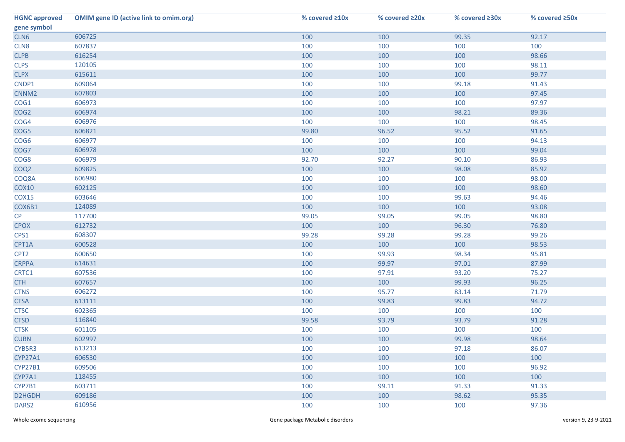| <b>HGNC approved</b> | <b>OMIM gene ID (active link to omim.org)</b> | % covered ≥10x | % covered ≥20x | % covered ≥30x | % covered ≥50x |
|----------------------|-----------------------------------------------|----------------|----------------|----------------|----------------|
| gene symbol          |                                               |                |                |                |                |
| CLN6                 | 606725                                        | 100            | 100            | 99.35          | 92.17          |
| CLN8                 | 607837                                        | 100            | 100            | 100            | 100            |
| <b>CLPB</b>          | 616254                                        | 100            | 100            | 100            | 98.66          |
| <b>CLPS</b>          | 120105                                        | 100            | 100            | 100            | 98.11          |
| <b>CLPX</b>          | 615611                                        | 100            | 100            | 100            | 99.77          |
| CNDP1                | 609064                                        | 100            | 100            | 99.18          | 91.43          |
| CNNM <sub>2</sub>    | 607803                                        | 100            | 100            | 100            | 97.45          |
| COG1                 | 606973                                        | 100            | 100            | 100            | 97.97          |
| COG <sub>2</sub>     | 606974                                        | 100            | 100            | 98.21          | 89.36          |
| COG4                 | 606976                                        | 100            | 100            | 100            | 98.45          |
| COG5                 | 606821                                        | 99.80          | 96.52          | 95.52          | 91.65          |
| COG <sub>6</sub>     | 606977                                        | 100            | 100            | 100            | 94.13          |
| COG7                 | 606978                                        | 100            | 100            | 100            | 99.04          |
| COG8                 | 606979                                        | 92.70          | 92.27          | 90.10          | 86.93          |
| COQ <sub>2</sub>     | 609825                                        | 100            | 100            | 98.08          | 85.92          |
| COQ8A                | 606980                                        | 100            | 100            | 100            | 98.00          |
| <b>COX10</b>         | 602125                                        | 100            | 100            | 100            | 98.60          |
| <b>COX15</b>         | 603646                                        | 100            | 100            | 99.63          | 94.46          |
| COX6B1               | 124089                                        | 100            | 100            | 100            | 93.08          |
| CP                   | 117700                                        | 99.05          | 99.05          | 99.05          | 98.80          |
| <b>CPOX</b>          | 612732                                        | 100            | 100            | 96.30          | 76.80          |
| CPS1                 | 608307                                        | 99.28          | 99.28          | 99.28          | 99.26          |
| CPT1A                | 600528                                        | 100            | 100            | 100            | 98.53          |
| CPT <sub>2</sub>     | 600650                                        | 100            | 99.93          | 98.34          | 95.81          |
| <b>CRPPA</b>         | 614631                                        | 100            | 99.97          | 97.01          | 87.99          |
| CRTC1                | 607536                                        | 100            | 97.91          | 93.20          | 75.27          |
| <b>CTH</b>           | 607657                                        | 100            | 100            | 99.93          | 96.25          |
| <b>CTNS</b>          | 606272                                        | 100            | 95.77          | 83.14          | 71.79          |
| <b>CTSA</b>          | 613111                                        | 100            | 99.83          | 99.83          | 94.72          |
| <b>CTSC</b>          | 602365                                        | 100            | 100            | 100            | 100            |
| <b>CTSD</b>          | 116840                                        | 99.58          | 93.79          | 93.79          | 91.28          |
| <b>CTSK</b>          | 601105                                        | 100            | 100            | 100            | 100            |
| <b>CUBN</b>          | 602997                                        | 100            | 100            | 99.98          | 98.64          |
| CYB5R3               | 613213                                        | 100            | 100            | 97.18          | 86.07          |
| CYP27A1              | 606530                                        | 100            | 100            | 100            | 100            |
| <b>CYP27B1</b>       | 609506                                        | 100            | 100            | 100            | 96.92          |
| CYP7A1               | 118455                                        | 100            | 100            | 100            | 100            |
| CYP7B1               | 603711                                        | 100            | 99.11          | 91.33          | 91.33          |
| D2HGDH               | 609186                                        | 100            | 100            | 98.62          | 95.35          |
| DARS <sub>2</sub>    | 610956                                        | 100            | 100            | 100            | 97.36          |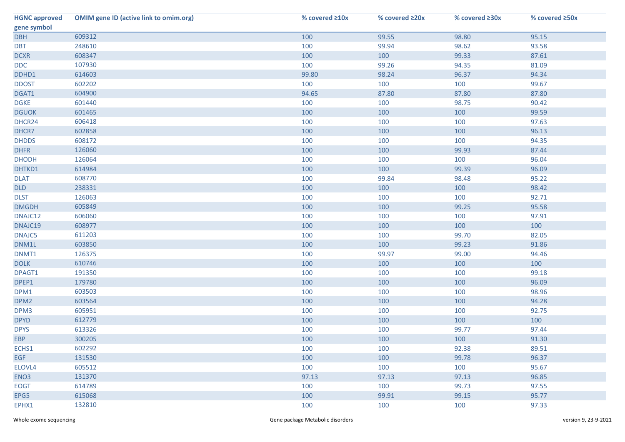| <b>HGNC approved</b> | <b>OMIM gene ID (active link to omim.org)</b> | % covered ≥10x | % covered ≥20x | % covered ≥30x | % covered ≥50x |
|----------------------|-----------------------------------------------|----------------|----------------|----------------|----------------|
| gene symbol          |                                               |                |                |                |                |
| <b>DBH</b>           | 609312                                        | 100            | 99.55          | 98.80          | 95.15          |
| <b>DBT</b>           | 248610                                        | 100            | 99.94          | 98.62          | 93.58          |
| <b>DCXR</b>          | 608347                                        | 100            | 100            | 99.33          | 87.61          |
| <b>DDC</b>           | 107930                                        | 100            | 99.26          | 94.35          | 81.09          |
| DDHD1                | 614603                                        | 99.80          | 98.24          | 96.37          | 94.34          |
| <b>DDOST</b>         | 602202                                        | 100            | 100            | 100            | 99.67          |
| DGAT1                | 604900                                        | 94.65          | 87.80          | 87.80          | 87.80          |
| <b>DGKE</b>          | 601440                                        | 100            | 100            | 98.75          | 90.42          |
| <b>DGUOK</b>         | 601465                                        | 100            | 100            | 100            | 99.59          |
| DHCR24               | 606418                                        | 100            | 100            | 100            | 97.63          |
| DHCR7                | 602858                                        | 100            | 100            | 100            | 96.13          |
| <b>DHDDS</b>         | 608172                                        | 100            | 100            | 100            | 94.35          |
| <b>DHFR</b>          | 126060                                        | 100            | 100            | 99.93          | 87.44          |
| <b>DHODH</b>         | 126064                                        | 100            | 100            | 100            | 96.04          |
| DHTKD1               | 614984                                        | 100            | 100            | 99.39          | 96.09          |
| <b>DLAT</b>          | 608770                                        | 100            | 99.84          | 98.48          | 95.22          |
| <b>DLD</b>           | 238331                                        | 100            | 100            | 100            | 98.42          |
| <b>DLST</b>          | 126063                                        | 100            | 100            | 100            | 92.71          |
| <b>DMGDH</b>         | 605849                                        | 100            | 100            | 99.25          | 95.58          |
| DNAJC12              | 606060                                        | 100            | 100            | 100            | 97.91          |
| DNAJC19              | 608977                                        | 100            | 100            | 100            | 100            |
| DNAJC5               | 611203                                        | 100            | 100            | 99.70          | 82.05          |
| DNM1L                | 603850                                        | 100            | 100            | 99.23          | 91.86          |
| DNMT1                | 126375                                        | 100            | 99.97          | 99.00          | 94.46          |
| <b>DOLK</b>          | 610746                                        | 100            | 100            | 100            | 100            |
| DPAGT1               | 191350                                        | 100            | 100            | 100            | 99.18          |
| DPEP1                | 179780                                        | 100            | 100            | 100            | 96.09          |
| DPM1                 | 603503                                        | 100            | 100            | 100            | 98.96          |
| DPM <sub>2</sub>     | 603564                                        | 100            | 100            | 100            | 94.28          |
| DPM3                 | 605951                                        | 100            | 100            | 100            | 92.75          |
| <b>DPYD</b>          | 612779                                        | 100            | 100            | 100            | 100            |
| <b>DPYS</b>          | 613326                                        | 100            | 100            | 99.77          | 97.44          |
| <b>EBP</b>           | 300205                                        | 100            | 100            | 100            | 91.30          |
| ECHS1                | 602292                                        | 100            | 100            | 92.38          | 89.51          |
| <b>EGF</b>           | 131530                                        | 100            | 100            | 99.78          | 96.37          |
| ELOVL4               | 605512                                        | 100            | 100            | 100            | 95.67          |
| ENO <sub>3</sub>     | 131370                                        | 97.13          | 97.13          | 97.13          | 96.85          |
| <b>EOGT</b>          | 614789                                        | 100            | 100            | 99.73          | 97.55          |
| EPG5                 | 615068                                        | 100            | 99.91          | 99.15          | 95.77          |
| EPHX1                | 132810                                        | 100            | 100            | 100            | 97.33          |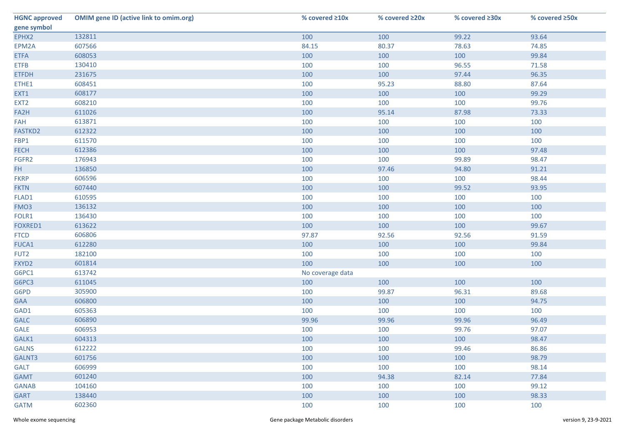| <b>HGNC approved</b> | <b>OMIM gene ID (active link to omim.org)</b> | % covered ≥10x   | % covered ≥20x | % covered ≥30x | % covered ≥50x |
|----------------------|-----------------------------------------------|------------------|----------------|----------------|----------------|
| gene symbol          |                                               |                  |                |                |                |
| EPHX2                | 132811                                        | 100              | 100            | 99.22          | 93.64          |
| EPM2A                | 607566                                        | 84.15            | 80.37          | 78.63          | 74.85          |
| <b>ETFA</b>          | 608053                                        | 100              | 100            | 100            | 99.84          |
| <b>ETFB</b>          | 130410                                        | 100              | 100            | 96.55          | 71.58          |
| <b>ETFDH</b>         | 231675                                        | 100              | 100            | 97.44          | 96.35          |
| ETHE1                | 608451                                        | 100              | 95.23          | 88.80          | 87.64          |
| EXT1                 | 608177                                        | 100              | 100            | 100            | 99.29          |
| EXT <sub>2</sub>     | 608210                                        | 100              | 100            | 100            | 99.76          |
| FA2H                 | 611026                                        | 100              | 95.14          | 87.98          | 73.33          |
| FAH                  | 613871                                        | 100              | 100            | 100            | 100            |
| FASTKD2              | 612322                                        | 100              | 100            | 100            | 100            |
| FBP1                 | 611570                                        | 100              | 100            | 100            | 100            |
| <b>FECH</b>          | 612386                                        | 100              | 100            | 100            | 97.48          |
| FGFR2                | 176943                                        | 100              | 100            | 99.89          | 98.47          |
| FH.                  | 136850                                        | 100              | 97.46          | 94.80          | 91.21          |
| <b>FKRP</b>          | 606596                                        | 100              | 100            | 100            | 98.44          |
| <b>FKTN</b>          | 607440                                        | 100              | 100            | 99.52          | 93.95          |
| FLAD1                | 610595                                        | 100              | 100            | 100            | 100            |
| FMO <sub>3</sub>     | 136132                                        | 100              | 100            | 100            | 100            |
| FOLR1                | 136430                                        | 100              | 100            | 100            | 100            |
| FOXRED1              | 613622                                        | 100              | 100            | 100            | 99.67          |
| <b>FTCD</b>          | 606806                                        | 97.87            | 92.56          | 92.56          | 91.59          |
| FUCA1                | 612280                                        | 100              | 100            | 100            | 99.84          |
| FUT <sub>2</sub>     | 182100                                        | 100              | 100            | 100            | 100            |
| FXYD2                | 601814                                        | 100              | 100            | 100            | 100            |
| G6PC1                | 613742                                        | No coverage data |                |                |                |
| G6PC3                | 611045                                        | 100              | 100            | 100            | 100            |
| G6PD                 | 305900                                        | 100              | 99.87          | 96.31          | 89.68          |
| <b>GAA</b>           | 606800                                        | 100              | 100            | 100            | 94.75          |
| GAD1                 | 605363                                        | 100              | 100            | 100            | 100            |
| <b>GALC</b>          | 606890                                        | 99.96            | 99.96          | 99.96          | 96.49          |
| GALE                 | 606953                                        | 100              | 100            | 99.76          | 97.07          |
| GALK1                | 604313                                        | 100              | 100            | 100            | 98.47          |
| <b>GALNS</b>         | 612222                                        | 100              | 100            | 99.46          | 86.86          |
| GALNT3               | 601756                                        | 100              | 100            | 100            | 98.79          |
| <b>GALT</b>          | 606999                                        | 100              | 100            | 100            | 98.14          |
| <b>GAMT</b>          | 601240                                        | 100              | 94.38          | 82.14          | 77.84          |
| <b>GANAB</b>         | 104160                                        | 100              | 100            | 100            | 99.12          |
| <b>GART</b>          | 138440                                        | 100              | 100            | 100            | 98.33          |
| <b>GATM</b>          | 602360                                        | 100              | 100            | 100            | 100            |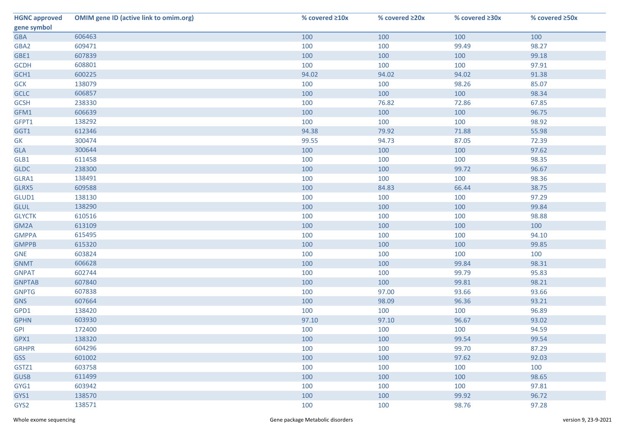| <b>HGNC approved</b> | <b>OMIM gene ID (active link to omim.org)</b> | % covered ≥10x | % covered ≥20x | % covered ≥30x | % covered ≥50x |
|----------------------|-----------------------------------------------|----------------|----------------|----------------|----------------|
| gene symbol          |                                               |                |                |                |                |
| <b>GBA</b>           | 606463                                        | 100            | 100            | 100            | 100            |
| GBA2                 | 609471                                        | 100            | 100            | 99.49          | 98.27          |
| GBE1                 | 607839                                        | 100            | 100            | 100            | 99.18          |
| <b>GCDH</b>          | 608801                                        | 100            | 100            | 100            | 97.91          |
| GCH1                 | 600225                                        | 94.02          | 94.02          | 94.02          | 91.38          |
| <b>GCK</b>           | 138079                                        | 100            | 100            | 98.26          | 85.07          |
| <b>GCLC</b>          | 606857                                        | 100            | 100            | 100            | 98.34          |
| <b>GCSH</b>          | 238330                                        | 100            | 76.82          | 72.86          | 67.85          |
| GFM1                 | 606639                                        | 100            | 100            | 100            | 96.75          |
| GFPT1                | 138292                                        | 100            | 100            | 100            | 98.92          |
| GGT1                 | 612346                                        | 94.38          | 79.92          | 71.88          | 55.98          |
| GK                   | 300474                                        | 99.55          | 94.73          | 87.05          | 72.39          |
| <b>GLA</b>           | 300644                                        | 100            | 100            | 100            | 97.62          |
| GLB1                 | 611458                                        | 100            | 100            | 100            | 98.35          |
| <b>GLDC</b>          | 238300                                        | 100            | 100            | 99.72          | 96.67          |
| GLRA1                | 138491                                        | 100            | 100            | 100            | 98.36          |
| GLRX5                | 609588                                        | 100            | 84.83          | 66.44          | 38.75          |
| GLUD1                | 138130                                        | 100            | 100            | 100            | 97.29          |
| <b>GLUL</b>          | 138290                                        | 100            | 100            | 100            | 99.84          |
| <b>GLYCTK</b>        | 610516                                        | 100            | 100            | 100            | 98.88          |
| GM2A                 | 613109                                        | 100            | 100            | 100            | 100            |
| <b>GMPPA</b>         | 615495                                        | 100            | 100            | 100            | 94.10          |
| <b>GMPPB</b>         | 615320                                        | 100            | 100            | 100            | 99.85          |
| <b>GNE</b>           | 603824                                        | 100            | 100            | 100            | 100            |
| <b>GNMT</b>          | 606628                                        | 100            | 100            | 99.84          | 98.31          |
| <b>GNPAT</b>         | 602744                                        | 100            | 100            | 99.79          | 95.83          |
| <b>GNPTAB</b>        | 607840                                        | 100            | 100            | 99.81          | 98.21          |
| <b>GNPTG</b>         | 607838                                        | 100            | 97.00          | 93.66          | 93.66          |
| <b>GNS</b>           | 607664                                        | 100            | 98.09          | 96.36          | 93.21          |
| GPD1                 | 138420                                        | 100            | 100            | 100            | 96.89          |
| <b>GPHN</b>          | 603930                                        | 97.10          | 97.10          | 96.67          | 93.02          |
| <b>GPI</b>           | 172400                                        | 100            | 100            | 100            | 94.59          |
| GPX1                 | 138320                                        | 100            | 100            | 99.54          | 99.54          |
| <b>GRHPR</b>         | 604296                                        | 100            | 100            | 99.70          | 87.29          |
| <b>GSS</b>           | 601002                                        | 100            | 100            | 97.62          | 92.03          |
| GSTZ1                | 603758                                        | 100            | 100            | 100            | 100            |
| <b>GUSB</b>          | 611499                                        | 100            | 100            | 100            | 98.65          |
| GYG1                 | 603942                                        | 100            | 100            | 100            | 97.81          |
| GYS1                 | 138570                                        | 100            | 100            | 99.92          | 96.72          |
| GYS2                 | 138571                                        | 100            | 100            | 98.76          | 97.28          |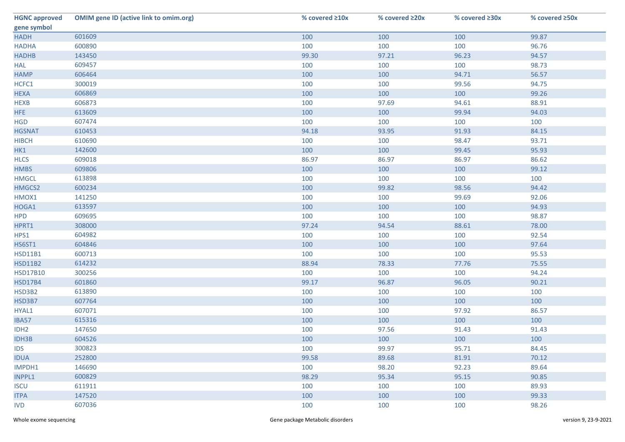| <b>HGNC approved</b> | <b>OMIM gene ID (active link to omim.org)</b> | % covered ≥10x | % covered ≥20x | % covered ≥30x | % covered ≥50x |
|----------------------|-----------------------------------------------|----------------|----------------|----------------|----------------|
| gene symbol          |                                               |                |                |                |                |
| <b>HADH</b>          | 601609                                        | 100            | 100            | 100            | 99.87          |
| <b>HADHA</b>         | 600890                                        | 100            | 100            | 100            | 96.76          |
| <b>HADHB</b>         | 143450                                        | 99.30          | 97.21          | 96.23          | 94.57          |
| <b>HAL</b>           | 609457                                        | 100            | 100            | 100            | 98.73          |
| <b>HAMP</b>          | 606464                                        | 100            | 100            | 94.71          | 56.57          |
| HCFC1                | 300019                                        | 100            | 100            | 99.56          | 94.75          |
| <b>HEXA</b>          | 606869                                        | 100            | 100            | 100            | 99.26          |
| <b>HEXB</b>          | 606873                                        | 100            | 97.69          | 94.61          | 88.91          |
| HFE                  | 613609                                        | 100            | 100            | 99.94          | 94.03          |
| <b>HGD</b>           | 607474                                        | 100            | 100            | 100            | 100            |
| <b>HGSNAT</b>        | 610453                                        | 94.18          | 93.95          | 91.93          | 84.15          |
| <b>HIBCH</b>         | 610690                                        | 100            | 100            | 98.47          | 93.71          |
| HK1                  | 142600                                        | 100            | 100            | 99.45          | 95.93          |
| <b>HLCS</b>          | 609018                                        | 86.97          | 86.97          | 86.97          | 86.62          |
| <b>HMBS</b>          | 609806                                        | 100            | 100            | 100            | 99.12          |
| <b>HMGCL</b>         | 613898                                        | 100            | 100            | 100            | 100            |
| HMGCS2               | 600234                                        | 100            | 99.82          | 98.56          | 94.42          |
| HMOX1                | 141250                                        | 100            | 100            | 99.69          | 92.06          |
| HOGA1                | 613597                                        | 100            | 100            | 100            | 94.93          |
| <b>HPD</b>           | 609695                                        | 100            | 100            | 100            | 98.87          |
| HPRT1                | 308000                                        | 97.24          | 94.54          | 88.61          | 78.00          |
| HPS1                 | 604982                                        | 100            | 100            | 100            | 92.54          |
| HS6ST1               | 604846                                        | 100            | 100            | 100            | 97.64          |
| <b>HSD11B1</b>       | 600713                                        | 100            | 100            | 100            | 95.53          |
| <b>HSD11B2</b>       | 614232                                        | 88.94          | 78.33          | 77.76          | 75.55          |
| <b>HSD17B10</b>      | 300256                                        | 100            | 100            | 100            | 94.24          |
| <b>HSD17B4</b>       | 601860                                        | 99.17          | 96.87          | 96.05          | 90.21          |
| HSD3B2               | 613890                                        | 100            | 100            | 100            | 100            |
| HSD3B7               | 607764                                        | 100            | 100            | 100            | 100            |
| HYAL1                | 607071                                        | 100            | 100            | 97.92          | 86.57          |
| IBA57                | 615316                                        | 100            | 100            | 100            | 100            |
| IDH <sub>2</sub>     | 147650                                        | 100            | 97.56          | 91.43          | 91.43          |
| <b>IDH3B</b>         | 604526                                        | 100            | 100            | 100            | 100            |
| <b>IDS</b>           | 300823                                        | 100            | 99.97          | 95.71          | 84.45          |
| <b>IDUA</b>          | 252800                                        | 99.58          | 89.68          | 81.91          | 70.12          |
| IMPDH1               | 146690                                        | 100            | 98.20          | 92.23          | 89.64          |
| INPPL1               | 600829                                        | 98.29          | 95.34          | 95.15          | 90.85          |
| <b>ISCU</b>          | 611911                                        | 100            | 100            | 100            | 89.93          |
| <b>ITPA</b>          | 147520                                        | 100            | 100            | 100            | 99.33          |
| <b>IVD</b>           | 607036                                        | 100            | 100            | 100            | 98.26          |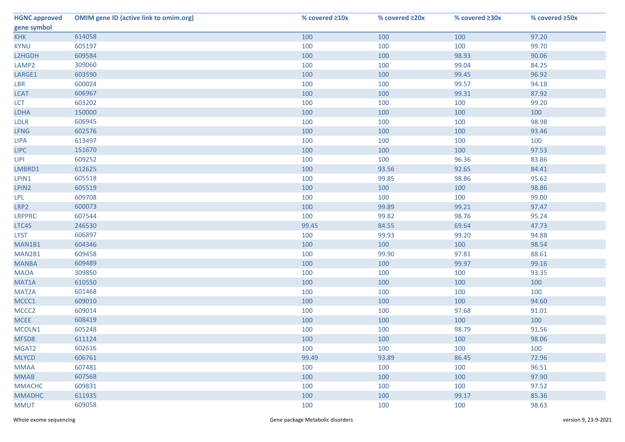| <b>HGNC approved</b> | <b>OMIM gene ID (active link to omim.org)</b> | % covered ≥10x | % covered ≥20x | % covered ≥30x | % covered ≥50x |
|----------------------|-----------------------------------------------|----------------|----------------|----------------|----------------|
| gene symbol          |                                               |                |                |                |                |
| <b>KHK</b>           | 614058                                        | 100            | 100            | 100            | 97.20          |
| <b>KYNU</b>          | 605197                                        | 100            | 100            | 100            | 99.70          |
| L2HGDH               | 609584                                        | 100            | 100            | 98.93          | 90.06          |
| LAMP <sub>2</sub>    | 309060                                        | 100            | 100            | 99.04          | 84.25          |
| LARGE1               | 603590                                        | 100            | 100            | 99.45          | 96.92          |
| LBR                  | 600024                                        | 100            | 100            | 99.57          | 94.18          |
| <b>LCAT</b>          | 606967                                        | 100            | 100            | 99.31          | 87.92          |
| <b>LCT</b>           | 603202                                        | 100            | 100            | 100            | 99.20          |
| LDHA                 | 150000                                        | 100            | 100            | 100            | 100            |
| <b>LDLR</b>          | 606945                                        | 100            | 100            | 100            | 98.98          |
| <b>LFNG</b>          | 602576                                        | 100            | 100            | 100            | 93.46          |
| <b>LIPA</b>          | 613497                                        | 100            | 100            | 100            | 100            |
| <b>LIPC</b>          | 151670                                        | 100            | 100            | 100            | 97.53          |
| <b>LIPI</b>          | 609252                                        | 100            | 100            | 96.36          | 83.86          |
| LMBRD1               | 612625                                        | 100            | 93.56          | 92.65          | 84.41          |
| LPIN1                | 605518                                        | 100            | 99.85          | 98.86          | 95.62          |
| LPIN2                | 605519                                        | 100            | 100            | 100            | 98.86          |
| LPL                  | 609708                                        | 100            | 100            | 100            | 99.00          |
| LRP2                 | 600073                                        | 100            | 99.89          | 99.21          | 97.47          |
| <b>LRPPRC</b>        | 607544                                        | 100            | 99.82          | 98.76          | 95.24          |
| LTC4S                | 246530                                        | 99.45          | 84.55          | 69.64          | 47.73          |
| <b>LYST</b>          | 606897                                        | 100            | 99.93          | 99.20          | 94.88          |
| MAN1B1               | 604346                                        | 100            | 100            | 100            | 98.54          |
| MAN2B1               | 609458                                        | 100            | 99.90          | 97.81          | 88.61          |
| <b>MANBA</b>         | 609489                                        | 100            | 100            | 99.97          | 99.16          |
| <b>MAOA</b>          | 309850                                        | 100            | 100            | 100            | 93.35          |
| MAT1A                | 610550                                        | 100            | 100            | 100            | 100            |
| MAT2A                | 601468                                        | 100            | 100            | 100            | 100            |
| MCCC1                | 609010                                        | 100            | 100            | 100            | 94.60          |
| MCCC <sub>2</sub>    | 609014                                        | 100            | 100            | 97.68          | 91.01          |
| <b>MCEE</b>          | 608419                                        | 100            | 100            | 100            | 100            |
| MCOLN1               | 605248                                        | 100            | 100            | 98.79          | 91.56          |
| MFSD8                | 611124                                        | 100            | 100            | 100            | 98.06          |
| MGAT2                | 602616                                        | 100            | 100            | 100            | 100            |
| <b>MLYCD</b>         | 606761                                        | 99.49          | 93.89          | 86.45          | 72.96          |
| <b>MMAA</b>          | 607481                                        | 100            | 100            | 100            | 96.51          |
| <b>MMAB</b>          | 607568                                        | 100            | 100            | 100            | 97.90          |
| <b>MMACHC</b>        | 609831                                        | 100            | 100            | 100            | 97.52          |
| <b>MMADHC</b>        | 611935                                        | 100            | 100            | 99.17          | 85.36          |
| <b>MMUT</b>          | 609058                                        | 100            | 100            | 100            | 98.63          |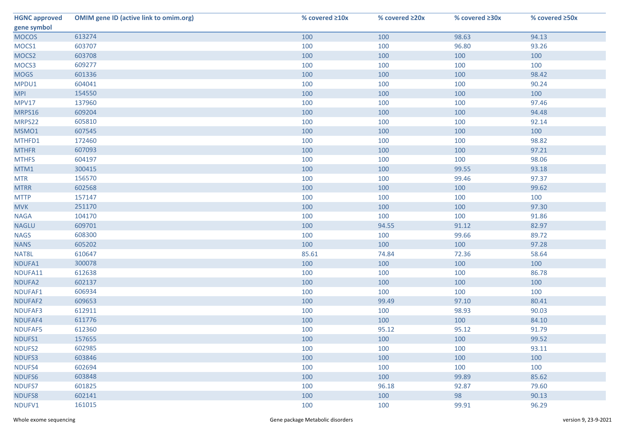| <b>HGNC approved</b> | <b>OMIM gene ID (active link to omim.org)</b> | % covered ≥10x | % covered ≥20x | % covered ≥30x | % covered ≥50x |
|----------------------|-----------------------------------------------|----------------|----------------|----------------|----------------|
| gene symbol          |                                               |                |                |                |                |
| <b>MOCOS</b>         | 613274                                        | 100            | 100            | 98.63          | 94.13          |
| MOCS1                | 603707                                        | 100            | 100            | 96.80          | 93.26          |
| MOCS2                | 603708                                        | 100            | 100            | 100            | 100            |
| MOCS3                | 609277                                        | 100            | 100            | 100            | 100            |
| <b>MOGS</b>          | 601336                                        | 100            | 100            | 100            | 98.42          |
| MPDU1                | 604041                                        | 100            | 100            | 100            | 90.24          |
| <b>MPI</b>           | 154550                                        | 100            | 100            | 100            | 100            |
| <b>MPV17</b>         | 137960                                        | 100            | 100            | 100            | 97.46          |
| MRPS16               | 609204                                        | 100            | 100            | 100            | 94.48          |
| MRPS22               | 605810                                        | 100            | 100            | 100            | 92.14          |
| MSMO1                | 607545                                        | 100            | 100            | 100            | 100            |
| MTHFD1               | 172460                                        | 100            | 100            | 100            | 98.82          |
| <b>MTHFR</b>         | 607093                                        | 100            | 100            | 100            | 97.21          |
| <b>MTHFS</b>         | 604197                                        | 100            | 100            | 100            | 98.06          |
| MTM1                 | 300415                                        | 100            | 100            | 99.55          | 93.18          |
| <b>MTR</b>           | 156570                                        | 100            | 100            | 99.46          | 97.37          |
| <b>MTRR</b>          | 602568                                        | 100            | 100            | 100            | 99.62          |
| <b>MTTP</b>          | 157147                                        | 100            | 100            | 100            | 100            |
| <b>MVK</b>           | 251170                                        | 100            | 100            | 100            | 97.30          |
| <b>NAGA</b>          | 104170                                        | 100            | 100            | 100            | 91.86          |
| <b>NAGLU</b>         | 609701                                        | 100            | 94.55          | 91.12          | 82.97          |
| <b>NAGS</b>          | 608300                                        | 100            | 100            | 99.66          | 89.72          |
| <b>NANS</b>          | 605202                                        | 100            | 100            | 100            | 97.28          |
| NAT8L                | 610647                                        | 85.61          | 74.84          | 72.36          | 58.64          |
| NDUFA1               | 300078                                        | 100            | 100            | 100            | 100            |
| NDUFA11              | 612638                                        | 100            | 100            | 100            | 86.78          |
| NDUFA2               | 602137                                        | 100            | 100            | 100            | 100            |
| NDUFAF1              | 606934                                        | 100            | 100            | 100            | 100            |
| NDUFAF2              | 609653                                        | 100            | 99.49          | 97.10          | 80.41          |
| NDUFAF3              | 612911                                        | 100            | 100            | 98.93          | 90.03          |
| NDUFAF4              | 611776                                        | 100            | 100            | 100            | 84.10          |
| NDUFAF5              | 612360                                        | 100            | 95.12          | 95.12          | 91.79          |
| NDUFS1               | 157655                                        | 100            | 100            | 100            | 99.52          |
| NDUFS2               | 602985                                        | 100            | 100            | 100            | 93.11          |
| NDUFS3               | 603846                                        | 100            | 100            | 100            | 100            |
| NDUFS4               | 602694                                        | 100            | 100            | 100            | 100            |
| NDUFS6               | 603848                                        | 100            | 100            | 99.89          | 85.62          |
| NDUFS7               | 601825                                        | 100            | 96.18          | 92.87          | 79.60          |
| <b>NDUFS8</b>        | 602141                                        | 100            | 100            | 98             | 90.13          |
| NDUFV1               | 161015                                        | 100            | 100            | 99.91          | 96.29          |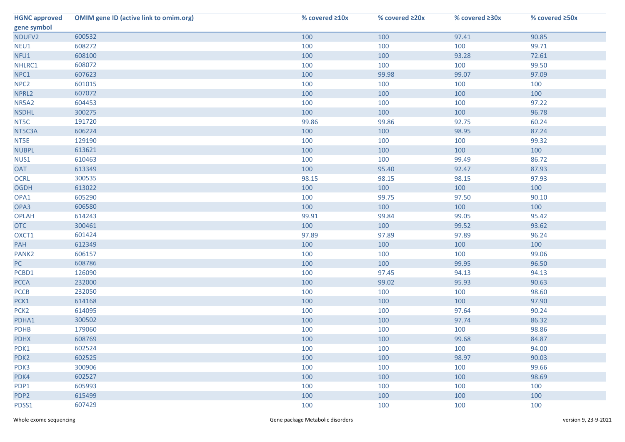| <b>HGNC approved</b> | <b>OMIM gene ID (active link to omim.org)</b> | % covered ≥10x | % covered ≥20x | % covered ≥30x | % covered ≥50x |
|----------------------|-----------------------------------------------|----------------|----------------|----------------|----------------|
| gene symbol          |                                               |                |                |                |                |
| NDUFV2               | 600532                                        | 100            | 100            | 97.41          | 90.85          |
| NEU1                 | 608272                                        | 100            | 100            | 100            | 99.71          |
| NFU1                 | 608100                                        | 100            | 100            | 93.28          | 72.61          |
| NHLRC1               | 608072                                        | 100            | 100            | 100            | 99.50          |
| NPC1                 | 607623                                        | 100            | 99.98          | 99.07          | 97.09          |
| NPC <sub>2</sub>     | 601015                                        | 100            | 100            | 100            | 100            |
| NPRL2                | 607072                                        | 100            | 100            | 100            | 100            |
| NR5A2                | 604453                                        | 100            | 100            | 100            | 97.22          |
| <b>NSDHL</b>         | 300275                                        | 100            | 100            | 100            | 96.78          |
| NT5C                 | 191720                                        | 99.86          | 99.86          | 92.75          | 60.24          |
| NT5C3A               | 606224                                        | 100            | 100            | 98.95          | 87.24          |
| NT5E                 | 129190                                        | 100            | 100            | 100            | 99.32          |
| <b>NUBPL</b>         | 613621                                        | 100            | 100            | 100            | 100            |
| NUS1                 | 610463                                        | 100            | 100            | 99.49          | 86.72          |
| <b>OAT</b>           | 613349                                        | 100            | 95.40          | 92.47          | 87.93          |
| <b>OCRL</b>          | 300535                                        | 98.15          | 98.15          | 98.15          | 97.93          |
| <b>OGDH</b>          | 613022                                        | 100            | 100            | 100            | 100            |
| OPA1                 | 605290                                        | 100            | 99.75          | 97.50          | 90.10          |
| OPA3                 | 606580                                        | 100            | 100            | 100            | 100            |
| <b>OPLAH</b>         | 614243                                        | 99.91          | 99.84          | 99.05          | 95.42          |
| <b>OTC</b>           | 300461                                        | 100            | 100            | 99.52          | 93.62          |
| OXCT1                | 601424                                        | 97.89          | 97.89          | 97.89          | 96.24          |
| PAH                  | 612349                                        | 100            | 100            | 100            | 100            |
| PANK <sub>2</sub>    | 606157                                        | 100            | 100            | 100            | 99.06          |
| PC                   | 608786                                        | 100            | 100            | 99.95          | 96.50          |
| PCBD1                | 126090                                        | 100            | 97.45          | 94.13          | 94.13          |
| <b>PCCA</b>          | 232000                                        | 100            | 99.02          | 95.93          | 90.63          |
| PCCB                 | 232050                                        | 100            | 100            | 100            | 98.60          |
| PCK1                 | 614168                                        | 100            | 100            | 100            | 97.90          |
| PCK <sub>2</sub>     | 614095                                        | 100            | 100            | 97.64          | 90.24          |
| PDHA1                | 300502                                        | 100            | 100            | 97.74          | 86.32          |
| <b>PDHB</b>          | 179060                                        | 100            | 100            | 100            | 98.86          |
| <b>PDHX</b>          | 608769                                        | 100            | 100            | 99.68          | 84.87          |
| PDK1                 | 602524                                        | 100            | 100            | 100            | 94.00          |
| PDK <sub>2</sub>     | 602525                                        | 100            | 100            | 98.97          | 90.03          |
| PDK3                 | 300906                                        | 100            | 100            | 100            | 99.66          |
| PDK4                 | 602527                                        | 100            | 100            | 100            | 98.69          |
| PDP1                 | 605993                                        | 100            | 100            | 100            | 100            |
| PDP <sub>2</sub>     | 615499                                        | 100            | 100            | 100            | 100            |
| PDSS1                | 607429                                        | 100            | 100            | 100            | 100            |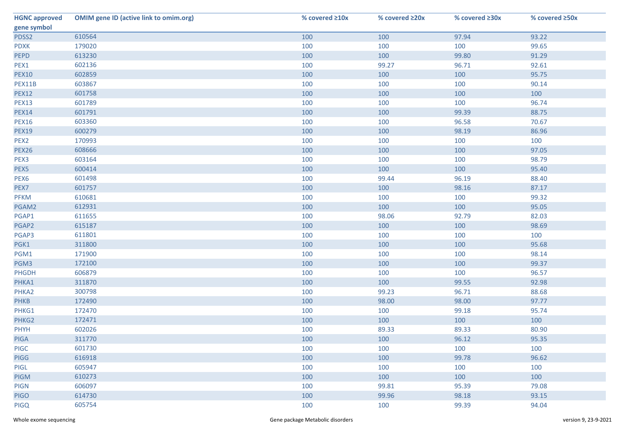| <b>HGNC approved</b> | <b>OMIM gene ID (active link to omim.org)</b> | % covered ≥10x | % covered ≥20x | % covered ≥30x | % covered ≥50x |
|----------------------|-----------------------------------------------|----------------|----------------|----------------|----------------|
| gene symbol          |                                               |                |                |                |                |
| PDSS2                | 610564                                        | 100            | 100            | 97.94          | 93.22          |
| <b>PDXK</b>          | 179020                                        | 100            | 100            | 100            | 99.65          |
| <b>PEPD</b>          | 613230                                        | 100            | 100            | 99.80          | 91.29          |
| PEX1                 | 602136                                        | 100            | 99.27          | 96.71          | 92.61          |
| <b>PEX10</b>         | 602859                                        | 100            | 100            | 100            | 95.75          |
| PEX11B               | 603867                                        | 100            | 100            | 100            | 90.14          |
| <b>PEX12</b>         | 601758                                        | 100            | 100            | 100            | 100            |
| <b>PEX13</b>         | 601789                                        | 100            | 100            | 100            | 96.74          |
| <b>PEX14</b>         | 601791                                        | 100            | 100            | 99.39          | 88.75          |
| <b>PEX16</b>         | 603360                                        | 100            | 100            | 96.58          | 70.67          |
| <b>PEX19</b>         | 600279                                        | 100            | 100            | 98.19          | 86.96          |
| PEX <sub>2</sub>     | 170993                                        | 100            | 100            | 100            | 100            |
| <b>PEX26</b>         | 608666                                        | 100            | 100            | 100            | 97.05          |
| PEX3                 | 603164                                        | 100            | 100            | 100            | 98.79          |
| PEX5                 | 600414                                        | 100            | 100            | 100            | 95.40          |
| PEX <sub>6</sub>     | 601498                                        | 100            | 99.44          | 96.19          | 88.40          |
| PEX7                 | 601757                                        | 100            | 100            | 98.16          | 87.17          |
| PFKM                 | 610681                                        | 100            | 100            | 100            | 99.32          |
| PGAM2                | 612931                                        | 100            | 100            | 100            | 95.05          |
| PGAP1                | 611655                                        | 100            | 98.06          | 92.79          | 82.03          |
| PGAP2                | 615187                                        | 100            | 100            | 100            | 98.69          |
| PGAP3                | 611801                                        | 100            | 100            | 100            | 100            |
| PGK1                 | 311800                                        | 100            | 100            | 100            | 95.68          |
| PGM1                 | 171900                                        | 100            | 100            | 100            | 98.14          |
| PGM3                 | 172100                                        | 100            | 100            | 100            | 99.37          |
| PHGDH                | 606879                                        | 100            | 100            | 100            | 96.57          |
| PHKA1                | 311870                                        | 100            | 100            | 99.55          | 92.98          |
| PHKA2                | 300798                                        | 100            | 99.23          | 96.71          | 88.68          |
| <b>PHKB</b>          | 172490                                        | 100            | 98.00          | 98.00          | 97.77          |
| PHKG1                | 172470                                        | 100            | 100            | 99.18          | 95.74          |
| PHKG2                | 172471                                        | 100            | 100            | 100            | 100            |
| <b>PHYH</b>          | 602026                                        | 100            | 89.33          | 89.33          | 80.90          |
| <b>PIGA</b>          | 311770                                        | 100            | 100            | 96.12          | 95.35          |
| <b>PIGC</b>          | 601730                                        | 100            | 100            | 100            | 100            |
| <b>PIGG</b>          | 616918                                        | 100            | 100            | 99.78          | 96.62          |
| PIGL                 | 605947                                        | 100            | 100            | 100            | 100            |
| <b>PIGM</b>          | 610273                                        | 100            | 100            | 100            | 100            |
| <b>PIGN</b>          | 606097                                        | 100            | 99.81          | 95.39          | 79.08          |
| <b>PIGO</b>          | 614730                                        | 100            | 99.96          | 98.18          | 93.15          |
| <b>PIGQ</b>          | 605754                                        | 100            | 100            | 99.39          | 94.04          |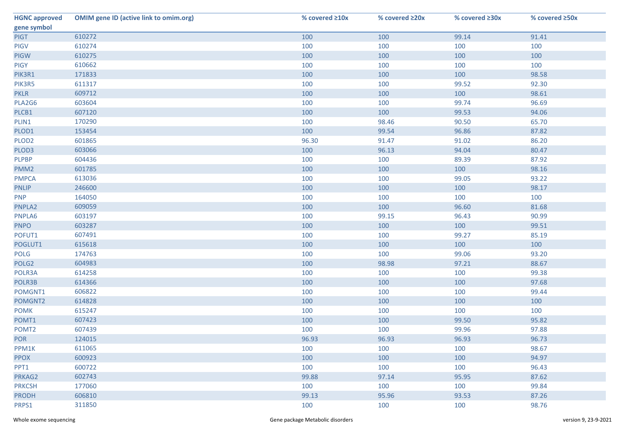| <b>HGNC approved</b> | <b>OMIM gene ID (active link to omim.org)</b> | % covered ≥10x | % covered ≥20x | % covered ≥30x | % covered ≥50x |
|----------------------|-----------------------------------------------|----------------|----------------|----------------|----------------|
| gene symbol          |                                               |                |                |                |                |
| <b>PIGT</b>          | 610272                                        | 100            | 100            | 99.14          | 91.41          |
| <b>PIGV</b>          | 610274                                        | 100            | 100            | 100            | 100            |
| <b>PIGW</b>          | 610275                                        | 100            | 100            | 100            | 100            |
| <b>PIGY</b>          | 610662                                        | 100            | 100            | 100            | 100            |
| PIK3R1               | 171833                                        | 100            | 100            | 100            | 98.58          |
| PIK3R5               | 611317                                        | 100            | 100            | 99.52          | 92.30          |
| <b>PKLR</b>          | 609712                                        | 100            | 100            | 100            | 98.61          |
| PLA2G6               | 603604                                        | 100            | 100            | 99.74          | 96.69          |
| PLCB1                | 607120                                        | 100            | 100            | 99.53          | 94.06          |
| PLIN1                | 170290                                        | 100            | 98.46          | 90.50          | 65.70          |
| PLOD1                | 153454                                        | 100            | 99.54          | 96.86          | 87.82          |
| PLOD <sub>2</sub>    | 601865                                        | 96.30          | 91.47          | 91.02          | 86.20          |
| PLOD3                | 603066                                        | 100            | 96.13          | 94.04          | 80.47          |
| <b>PLPBP</b>         | 604436                                        | 100            | 100            | 89.39          | 87.92          |
| PMM <sub>2</sub>     | 601785                                        | 100            | 100            | 100            | 98.16          |
| <b>PMPCA</b>         | 613036                                        | 100            | 100            | 99.05          | 93.22          |
| <b>PNLIP</b>         | 246600                                        | 100            | 100            | 100            | 98.17          |
| <b>PNP</b>           | 164050                                        | 100            | 100            | 100            | 100            |
| PNPLA2               | 609059                                        | 100            | 100            | 96.60          | 81.68          |
| PNPLA6               | 603197                                        | 100            | 99.15          | 96.43          | 90.99          |
| <b>PNPO</b>          | 603287                                        | 100            | 100            | 100            | 99.51          |
| POFUT1               | 607491                                        | 100            | 100            | 99.27          | 85.19          |
| POGLUT1              | 615618                                        | 100            | 100            | 100            | 100            |
| POLG                 | 174763                                        | 100            | 100            | 99.06          | 93.20          |
| POLG <sub>2</sub>    | 604983                                        | 100            | 98.98          | 97.21          | 88.67          |
| POLR3A               | 614258                                        | 100            | 100            | 100            | 99.38          |
| POLR3B               | 614366                                        | 100            | 100            | 100            | 97.68          |
| POMGNT1              | 606822                                        | 100            | 100            | 100            | 99.44          |
| POMGNT2              | 614828                                        | 100            | 100            | 100            | 100            |
| <b>POMK</b>          | 615247                                        | 100            | 100            | 100            | 100            |
| POMT1                | 607423                                        | 100            | 100            | 99.50          | 95.82          |
| POMT <sub>2</sub>    | 607439                                        | 100            | 100            | 99.96          | 97.88          |
| <b>POR</b>           | 124015                                        | 96.93          | 96.93          | 96.93          | 96.73          |
| PPM1K                | 611065                                        | 100            | 100            | 100            | 98.67          |
| <b>PPOX</b>          | 600923                                        | 100            | 100            | 100            | 94.97          |
| PPT1                 | 600722                                        | 100            | 100            | 100            | 96.43          |
| PRKAG2               | 602743                                        | 99.88          | 97.14          | 95.95          | 87.62          |
| <b>PRKCSH</b>        | 177060                                        | 100            | 100            | 100            | 99.84          |
| <b>PRODH</b>         | 606810                                        | 99.13          | 95.96          | 93.53          | 87.26          |
| PRPS1                | 311850                                        | 100            | 100            | 100            | 98.76          |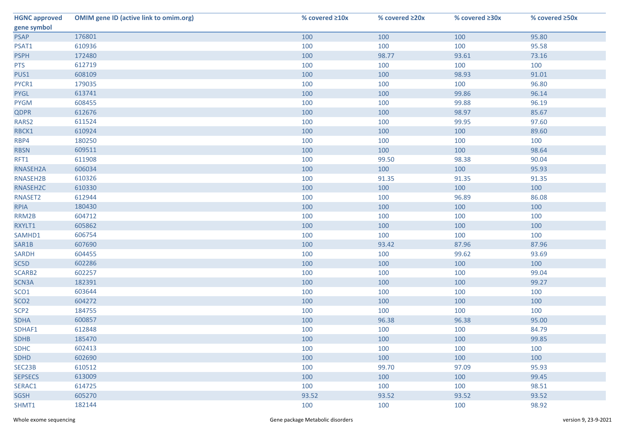| <b>HGNC approved</b> | <b>OMIM gene ID (active link to omim.org)</b> | % covered ≥10x | % covered ≥20x | % covered ≥30x | % covered ≥50x |
|----------------------|-----------------------------------------------|----------------|----------------|----------------|----------------|
| gene symbol          |                                               |                |                |                |                |
| <b>PSAP</b>          | 176801                                        | 100            | 100            | 100            | 95.80          |
| PSAT1                | 610936                                        | 100            | 100            | 100            | 95.58          |
| <b>PSPH</b>          | 172480                                        | 100            | 98.77          | 93.61          | 73.16          |
| <b>PTS</b>           | 612719                                        | 100            | 100            | 100            | 100            |
| PUS1                 | 608109                                        | 100            | 100            | 98.93          | 91.01          |
| PYCR1                | 179035                                        | 100            | 100            | 100            | 96.80          |
| <b>PYGL</b>          | 613741                                        | 100            | 100            | 99.86          | 96.14          |
| <b>PYGM</b>          | 608455                                        | 100            | 100            | 99.88          | 96.19          |
| <b>QDPR</b>          | 612676                                        | 100            | 100            | 98.97          | 85.67          |
| RARS2                | 611524                                        | 100            | 100            | 99.95          | 97.60          |
| RBCK1                | 610924                                        | 100            | 100            | 100            | 89.60          |
| RBP4                 | 180250                                        | 100            | 100            | 100            | 100            |
| <b>RBSN</b>          | 609511                                        | 100            | 100            | 100            | 98.64          |
| RFT1                 | 611908                                        | 100            | 99.50          | 98.38          | 90.04          |
| RNASEH2A             | 606034                                        | 100            | 100            | 100            | 95.93          |
| RNASEH2B             | 610326                                        | 100            | 91.35          | 91.35          | 91.35          |
| RNASEH2C             | 610330                                        | 100            | 100            | 100            | 100            |
| RNASET2              | 612944                                        | 100            | 100            | 96.89          | 86.08          |
| <b>RPIA</b>          | 180430                                        | 100            | 100            | 100            | 100            |
| RRM2B                | 604712                                        | 100            | 100            | 100            | 100            |
| RXYLT1               | 605862                                        | 100            | 100            | 100            | 100            |
| SAMHD1               | 606754                                        | 100            | 100            | 100            | 100            |
| SAR1B                | 607690                                        | 100            | 93.42          | 87.96          | 87.96          |
| <b>SARDH</b>         | 604455                                        | 100            | 100            | 99.62          | 93.69          |
| SC5D                 | 602286                                        | 100            | 100            | 100            | 100            |
| SCARB2               | 602257                                        | 100            | 100            | 100            | 99.04          |
| SCN3A                | 182391                                        | 100            | 100            | 100            | 99.27          |
| SCO <sub>1</sub>     | 603644                                        | 100            | 100            | 100            | 100            |
| SCO <sub>2</sub>     | 604272                                        | 100            | 100            | 100            | 100            |
| SCP <sub>2</sub>     | 184755                                        | 100            | 100            | 100            | 100            |
| <b>SDHA</b>          | 600857                                        | 100            | 96.38          | 96.38          | 95.00          |
| SDHAF1               | 612848                                        | 100            | 100            | 100            | 84.79          |
| <b>SDHB</b>          | 185470                                        | 100            | 100            | 100            | 99.85          |
| <b>SDHC</b>          | 602413                                        | 100            | 100            | 100            | 100            |
| <b>SDHD</b>          | 602690                                        | 100            | 100            | 100            | 100            |
| SEC23B               | 610512                                        | 100            | 99.70          | 97.09          | 95.93          |
| <b>SEPSECS</b>       | 613009                                        | 100            | 100            | 100            | 99.45          |
| SERAC1               | 614725                                        | 100            | 100            | 100            | 98.51          |
| <b>SGSH</b>          | 605270                                        | 93.52          | 93.52          | 93.52          | 93.52          |
| SHMT1                | 182144                                        | 100            | 100            | 100            | 98.92          |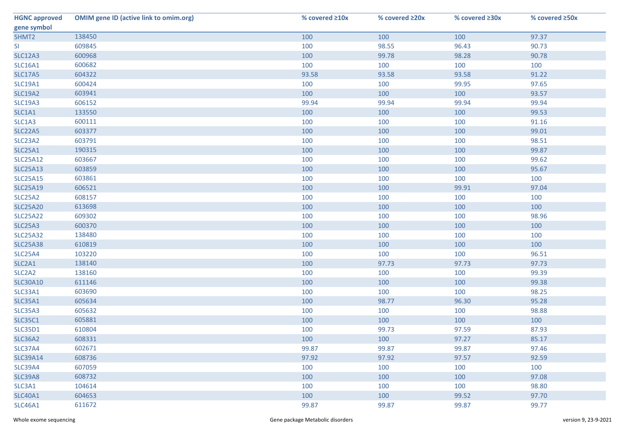| <b>HGNC approved</b>            | <b>OMIM gene ID (active link to omim.org)</b> | % covered ≥10x | % covered ≥20x | % covered ≥30x | % covered ≥50x |
|---------------------------------|-----------------------------------------------|----------------|----------------|----------------|----------------|
| gene symbol                     |                                               |                |                |                |                |
| SHMT2                           | 138450                                        | 100            | 100            | 100            | 97.37          |
| SI                              | 609845                                        | 100            | 98.55          | 96.43          | 90.73          |
| <b>SLC12A3</b>                  | 600968                                        | 100            | 99.78          | 98.28          | 90.78          |
| <b>SLC16A1</b>                  | 600682                                        | 100            | 100            | 100            | 100            |
| <b>SLC17A5</b>                  | 604322                                        | 93.58          | 93.58          | 93.58          | 91.22          |
| <b>SLC19A1</b>                  | 600424                                        | 100            | 100            | 99.95          | 97.65          |
| <b>SLC19A2</b>                  | 603941                                        | 100            | 100            | 100            | 93.57          |
| <b>SLC19A3</b>                  | 606152                                        | 99.94          | 99.94          | 99.94          | 99.94          |
| SLC1A1                          | 133550                                        | 100            | 100            | 100            | 99.53          |
| SLC1A3                          | 600111                                        | 100            | 100            | 100            | 91.16          |
| <b>SLC22A5</b>                  | 603377                                        | 100            | 100            | 100            | 99.01          |
| SLC23A2                         | 603791                                        | 100            | 100            | 100            | 98.51          |
| <b>SLC25A1</b>                  | 190315                                        | 100            | 100            | 100            | 99.87          |
| <b>SLC25A12</b>                 | 603667                                        | 100            | 100            | 100            | 99.62          |
| <b>SLC25A13</b>                 | 603859                                        | 100            | 100            | 100            | 95.67          |
| <b>SLC25A15</b>                 | 603861                                        | 100            | 100            | 100            | 100            |
| <b>SLC25A19</b>                 | 606521                                        | 100            | 100            | 99.91          | 97.04          |
| SLC25A2                         | 608157                                        | 100            | 100            | 100            | 100            |
| <b>SLC25A20</b>                 | 613698                                        | 100            | 100            | 100            | 100            |
| <b>SLC25A22</b>                 | 609302                                        | 100            | 100            | 100            | 98.96          |
| <b>SLC25A3</b>                  | 600370                                        | 100            | 100            | 100            | 100            |
| <b>SLC25A32</b>                 | 138480                                        | 100            | 100            | 100            | 100            |
| <b>SLC25A38</b>                 | 610819                                        | 100            | 100            | 100            | 100            |
| <b>SLC25A4</b>                  | 103220                                        | 100            | 100            | 100            | 96.51          |
| SLC2A1                          | 138140                                        | 100            | 97.73          | 97.73          | 97.73          |
| SLC <sub>2</sub> A <sub>2</sub> | 138160                                        | 100            | 100            | 100            | 99.39          |
| <b>SLC30A10</b>                 | 611146                                        | 100            | 100            | 100            | 99.38          |
| SLC33A1                         | 603690                                        | 100            | 100            | 100            | 98.25          |
| <b>SLC35A1</b>                  | 605634                                        | 100            | 98.77          | 96.30          | 95.28          |
| <b>SLC35A3</b>                  | 605632                                        | 100            | 100            | 100            | 98.88          |
| <b>SLC35C1</b>                  | 605881                                        | 100            | 100            | 100            | 100            |
| <b>SLC35D1</b>                  | 610804                                        | 100            | 99.73          | 97.59          | 87.93          |
| <b>SLC36A2</b>                  | 608331                                        | 100            | 100            | 97.27          | 85.17          |
| <b>SLC37A4</b>                  | 602671                                        | 99.87          | 99.87          | 99.87          | 97.46          |
| <b>SLC39A14</b>                 | 608736                                        | 97.92          | 97.92          | 97.57          | 92.59          |
| <b>SLC39A4</b>                  | 607059                                        | 100            | 100            | 100            | 100            |
| <b>SLC39A8</b>                  | 608732                                        | 100            | 100            | 100            | 97.08          |
| SLC3A1                          | 104614                                        | 100            | 100            | 100            | 98.80          |
| <b>SLC40A1</b>                  | 604653                                        | 100            | 100            | 99.52          | 97.70          |
| <b>SLC46A1</b>                  | 611672                                        | 99.87          | 99.87          | 99.87          | 99.77          |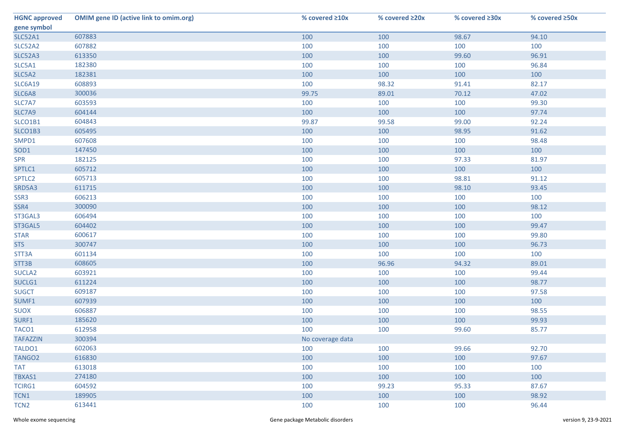| <b>HGNC approved</b> | <b>OMIM gene ID (active link to omim.org)</b> | % covered ≥10x   | % covered ≥20x | % covered ≥30x | % covered ≥50x |
|----------------------|-----------------------------------------------|------------------|----------------|----------------|----------------|
| gene symbol          |                                               |                  |                |                |                |
| <b>SLC52A1</b>       | 607883                                        | 100              | 100            | 98.67          | 94.10          |
| SLC52A2              | 607882                                        | 100              | 100            | 100            | 100            |
| <b>SLC52A3</b>       | 613350                                        | 100              | 100            | 99.60          | 96.91          |
| SLC5A1               | 182380                                        | 100              | 100            | 100            | 96.84          |
| SLC5A2               | 182381                                        | 100              | 100            | 100            | 100            |
| <b>SLC6A19</b>       | 608893                                        | 100              | 98.32          | 91.41          | 82.17          |
| SLC6A8               | 300036                                        | 99.75            | 89.01          | 70.12          | 47.02          |
| SLC7A7               | 603593                                        | 100              | 100            | 100            | 99.30          |
| SLC7A9               | 604144                                        | 100              | 100            | 100            | 97.74          |
| SLCO1B1              | 604843                                        | 99.87            | 99.58          | 99.00          | 92.24          |
| SLCO1B3              | 605495                                        | 100              | 100            | 98.95          | 91.62          |
| SMPD1                | 607608                                        | 100              | 100            | 100            | 98.48          |
| SOD1                 | 147450                                        | 100              | 100            | 100            | 100            |
| <b>SPR</b>           | 182125                                        | 100              | 100            | 97.33          | 81.97          |
| SPTLC1               | 605712                                        | 100              | 100            | 100            | 100            |
| SPTLC2               | 605713                                        | 100              | 100            | 98.81          | 91.12          |
| SRD5A3               | 611715                                        | 100              | 100            | 98.10          | 93.45          |
| SSR3                 | 606213                                        | 100              | 100            | 100            | 100            |
| SSR4                 | 300090                                        | 100              | 100            | 100            | 98.12          |
| ST3GAL3              | 606494                                        | 100              | 100            | 100            | 100            |
| ST3GAL5              | 604402                                        | 100              | 100            | 100            | 99.47          |
| <b>STAR</b>          | 600617                                        | 100              | 100            | 100            | 99.80          |
| <b>STS</b>           | 300747                                        | 100              | 100            | 100            | 96.73          |
| STT3A                | 601134                                        | 100              | 100            | 100            | 100            |
| STT3B                | 608605                                        | 100              | 96.96          | 94.32          | 89.01          |
| SUCLA <sub>2</sub>   | 603921                                        | 100              | 100            | 100            | 99.44          |
| SUCLG1               | 611224                                        | 100              | 100            | 100            | 98.77          |
| <b>SUGCT</b>         | 609187                                        | 100              | 100            | 100            | 97.58          |
| SUMF1                | 607939                                        | 100              | 100            | 100            | 100            |
| <b>SUOX</b>          | 606887                                        | 100              | 100            | 100            | 98.55          |
| SURF1                | 185620                                        | 100              | 100            | 100            | 99.93          |
| TACO1                | 612958                                        | 100              | 100            | 99.60          | 85.77          |
| <b>TAFAZZIN</b>      | 300394                                        | No coverage data |                |                |                |
| TALDO1               | 602063                                        | 100              | 100            | 99.66          | 92.70          |
| TANGO <sub>2</sub>   | 616830                                        | 100              | 100            | 100            | 97.67          |
| <b>TAT</b>           | 613018                                        | 100              | 100            | 100            | 100            |
| TBXAS1               | 274180                                        | 100              | 100            | 100            | 100            |
| <b>TCIRG1</b>        | 604592                                        | 100              | 99.23          | 95.33          | 87.67          |
| TCN1                 | 189905                                        | 100              | 100            | 100            | 98.92          |
| TCN <sub>2</sub>     | 613441                                        | 100              | 100            | 100            | 96.44          |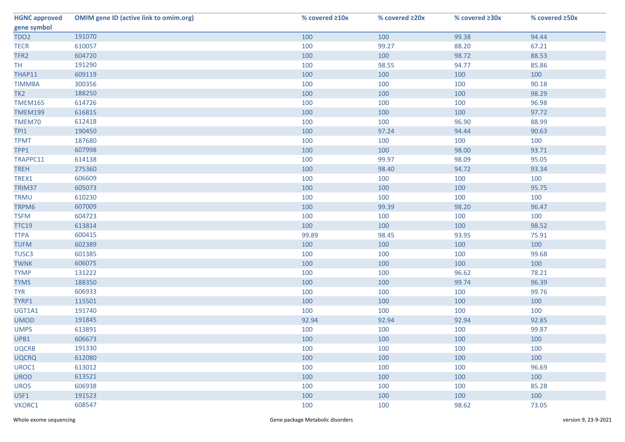| <b>HGNC approved</b> | <b>OMIM gene ID (active link to omim.org)</b> | % covered ≥10x | % covered ≥20x | % covered ≥30x | % covered ≥50x |
|----------------------|-----------------------------------------------|----------------|----------------|----------------|----------------|
| gene symbol          |                                               |                |                |                |                |
| TDO <sub>2</sub>     | 191070                                        | 100            | 100            | 99.38          | 94.44          |
| <b>TECR</b>          | 610057                                        | 100            | 99.27          | 88.20          | 67.21          |
| TFR <sub>2</sub>     | 604720                                        | 100            | 100            | 98.72          | 88.53          |
| TH <sub></sub>       | 191290                                        | 100            | 98.55          | 94.77          | 85.86          |
| THAP11               | 609119                                        | 100            | 100            | 100            | 100            |
| <b>TIMM8A</b>        | 300356                                        | 100            | 100            | 100            | 90.18          |
| TK <sub>2</sub>      | 188250                                        | 100            | 100            | 100            | 98.29          |
| <b>TMEM165</b>       | 614726                                        | 100            | 100            | 100            | 96.98          |
| <b>TMEM199</b>       | 616815                                        | 100            | 100            | 100            | 97.72          |
| TMEM70               | 612418                                        | 100            | 100            | 96.90          | 88.99          |
| TPI1                 | 190450                                        | 100            | 97.24          | 94.44          | 90.63          |
| <b>TPMT</b>          | 187680                                        | 100            | 100            | 100            | 100            |
| TPP1                 | 607998                                        | 100            | 100            | 98.00          | 93.71          |
| TRAPPC11             | 614138                                        | 100            | 99.97          | 98.09          | 95.05          |
| <b>TREH</b>          | 275360                                        | 100            | 98.40          | 94.72          | 93.34          |
| TREX1                | 606609                                        | 100            | 100            | 100            | 100            |
| TRIM37               | 605073                                        | 100            | 100            | 100            | 95.75          |
| <b>TRMU</b>          | 610230                                        | 100            | 100            | 100            | 100            |
| TRPM6                | 607009                                        | 100            | 99.39          | 98.20          | 96.47          |
| <b>TSFM</b>          | 604723                                        | 100            | 100            | 100            | 100            |
| <b>TTC19</b>         | 613814                                        | 100            | 100            | 100            | 98.52          |
| <b>TTPA</b>          | 600415                                        | 99.89          | 98.45          | 93.95          | 75.91          |
| <b>TUFM</b>          | 602389                                        | 100            | 100            | 100            | 100            |
| TUSC <sub>3</sub>    | 601385                                        | 100            | 100            | 100            | 99.68          |
| <b>TWNK</b>          | 606075                                        | 100            | 100            | 100            | 100            |
| <b>TYMP</b>          | 131222                                        | 100            | 100            | 96.62          | 78.21          |
| <b>TYMS</b>          | 188350                                        | 100            | 100            | 99.74          | 96.39          |
| <b>TYR</b>           | 606933                                        | 100            | 100            | 100            | 99.76          |
| TYRP1                | 115501                                        | 100            | 100            | 100            | 100            |
| UGT1A1               | 191740                                        | 100            | 100            | 100            | 100            |
| <b>UMOD</b>          | 191845                                        | 92.94          | 92.94          | 92.94          | 92.85          |
| <b>UMPS</b>          | 613891                                        | 100            | 100            | 100            | 99.87          |
| UPB1                 | 606673                                        | 100            | 100            | 100            | 100            |
| <b>UQCRB</b>         | 191330                                        | 100            | 100            | 100            | 100            |
| <b>UQCRQ</b>         | 612080                                        | 100            | 100            | 100            | 100            |
| UROC1                | 613012                                        | 100            | 100            | 100            | 96.69          |
| <b>UROD</b>          | 613521                                        | 100            | 100            | 100            | 100            |
| <b>UROS</b>          | 606938                                        | 100            | 100            | 100            | 85.28          |
| USF1                 | 191523                                        | 100            | 100            | 100            | 100            |
| VKORC1               | 608547                                        | 100            | 100            | 98.62          | 73.05          |